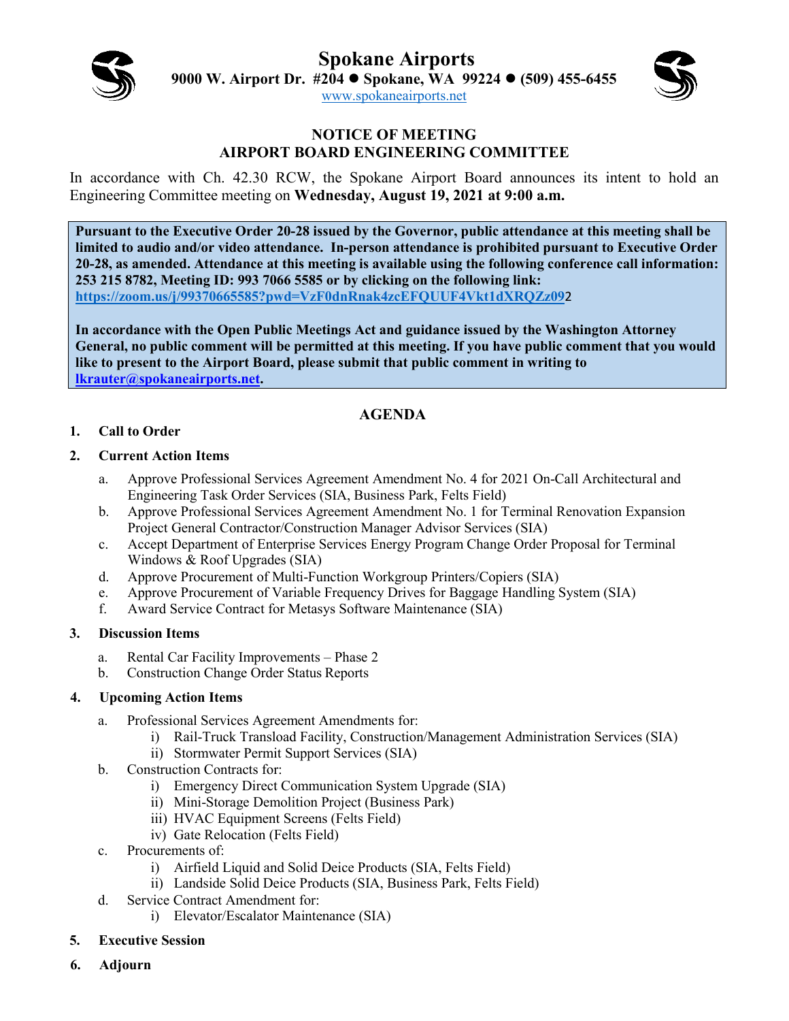**Spokane Airports**



**9000 W. Airport Dr. #204 Spokane, WA 99224 (509) 455-6455**

[www.spokaneairports.net](http://www.spokaneairports.net/)

#### **NOTICE OF MEETING AIRPORT BOARD ENGINEERING COMMITTEE**

In accordance with Ch. 42.30 RCW, the Spokane Airport Board announces its intent to hold an Engineering Committee meeting on **Wednesday, August 19, 2021 at 9:00 a.m.** 

**Pursuant to the Executive Order 20-28 issued by the Governor, public attendance at this meeting shall be limited to audio and/or video attendance. In-person attendance is prohibited pursuant to Executive Order 20-28, as amended. Attendance at this meeting is available using the following conference call information: 253 215 8782, Meeting ID: 993 7066 5585 or by clicking on the following link: <https://zoom.us/j/99370665585?pwd=VzF0dnRnak4zcEFQUUF4Vkt1dXRQZz09>**2

**In accordance with the Open Public Meetings Act and guidance issued by the Washington Attorney General, no public comment will be permitted at this meeting. If you have public comment that you would like to present to the Airport Board, please submit that public comment in writing to [lkrauter@spokaneairports.net.](mailto:lkrauter@spokaneairports.net)**

# **AGENDA**

### **1. Call to Order**

### **2. Current Action Items**

- a. Approve Professional Services Agreement Amendment No. 4 for 2021 On-Call Architectural and Engineering Task Order Services (SIA, Business Park, Felts Field)
- b. Approve Professional Services Agreement Amendment No. 1 for Terminal Renovation Expansion Project General Contractor/Construction Manager Advisor Services (SIA)
- c. Accept Department of Enterprise Services Energy Program Change Order Proposal for Terminal Windows & Roof Upgrades (SIA)
- d. Approve Procurement of Multi-Function Workgroup Printers/Copiers (SIA)
- e. Approve Procurement of Variable Frequency Drives for Baggage Handling System (SIA)
- f. Award Service Contract for Metasys Software Maintenance (SIA)

# **3. Discussion Items**

- a. Rental Car Facility Improvements Phase 2
- b. Construction Change Order Status Reports

# **4. Upcoming Action Items**

- a. Professional Services Agreement Amendments for:
	- i) Rail-Truck Transload Facility, Construction/Management Administration Services (SIA)
	- ii) Stormwater Permit Support Services (SIA)
- b. Construction Contracts for:
	- i) Emergency Direct Communication System Upgrade (SIA)
	- ii) Mini-Storage Demolition Project (Business Park)
	- iii) HVAC Equipment Screens (Felts Field)
	- iv) Gate Relocation (Felts Field)
- c. Procurements of:
	- i) Airfield Liquid and Solid Deice Products (SIA, Felts Field)
	- ii) Landside Solid Deice Products (SIA, Business Park, Felts Field)
- d. Service Contract Amendment for:
	- i) Elevator/Escalator Maintenance (SIA)
- **5. Executive Session**
- **6. Adjourn**